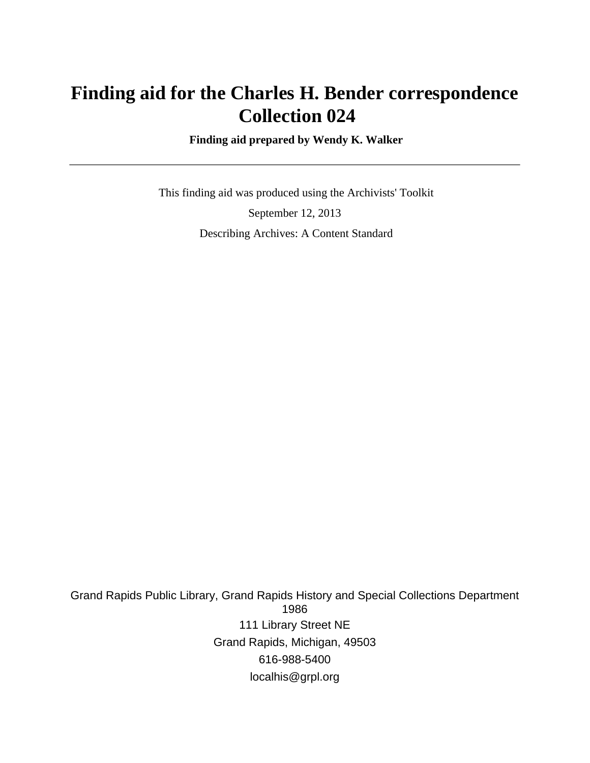# **Finding aid for the Charles H. Bender correspondence Collection 024**

 **Finding aid prepared by Wendy K. Walker**

 This finding aid was produced using the Archivists' Toolkit September 12, 2013 Describing Archives: A Content Standard

Grand Rapids Public Library, Grand Rapids History and Special Collections Department 1986 111 Library Street NE Grand Rapids, Michigan, 49503 616-988-5400 localhis@grpl.org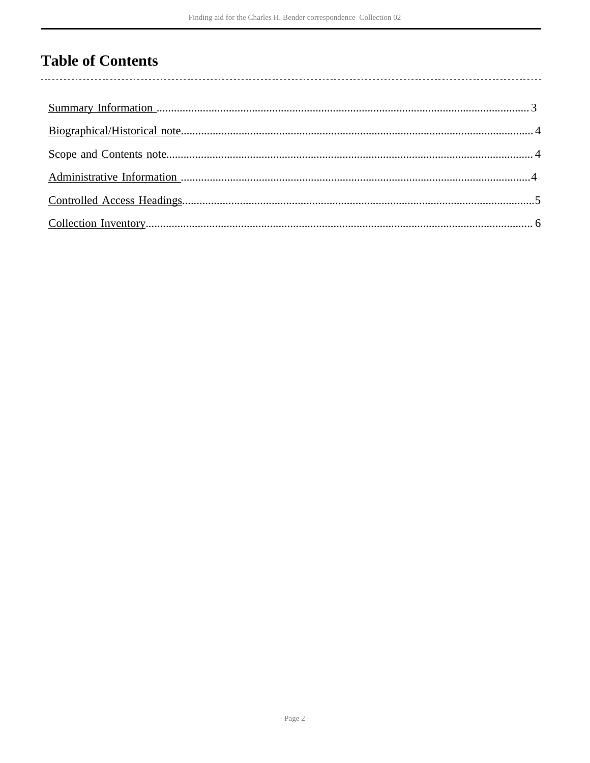## **Table of Contents**

l,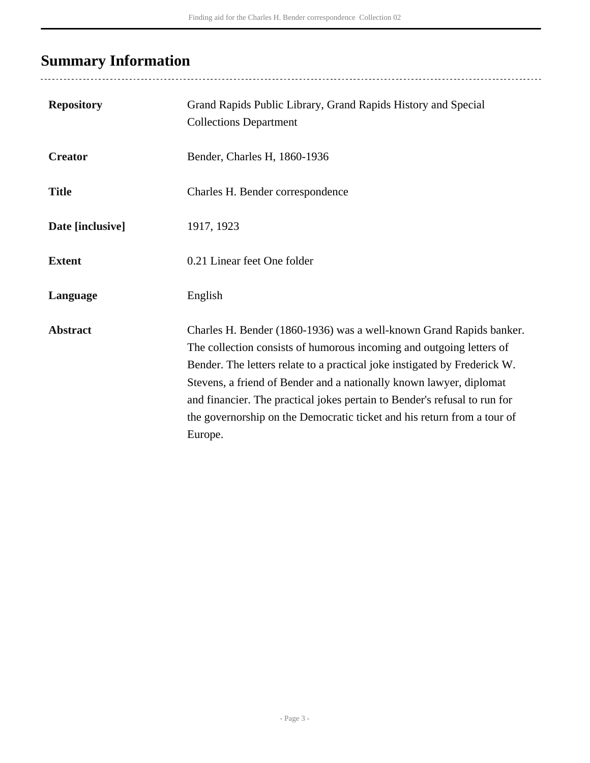# <span id="page-2-0"></span>**Summary Information**

| <b>Repository</b> | Grand Rapids Public Library, Grand Rapids History and Special<br><b>Collections Department</b>                                                                                                                                                                                                                                                                                                                                                                     |
|-------------------|--------------------------------------------------------------------------------------------------------------------------------------------------------------------------------------------------------------------------------------------------------------------------------------------------------------------------------------------------------------------------------------------------------------------------------------------------------------------|
| <b>Creator</b>    | Bender, Charles H, 1860-1936                                                                                                                                                                                                                                                                                                                                                                                                                                       |
| <b>Title</b>      | Charles H. Bender correspondence                                                                                                                                                                                                                                                                                                                                                                                                                                   |
| Date [inclusive]  | 1917, 1923                                                                                                                                                                                                                                                                                                                                                                                                                                                         |
| <b>Extent</b>     | 0.21 Linear feet One folder                                                                                                                                                                                                                                                                                                                                                                                                                                        |
| Language          | English                                                                                                                                                                                                                                                                                                                                                                                                                                                            |
| <b>Abstract</b>   | Charles H. Bender (1860-1936) was a well-known Grand Rapids banker.<br>The collection consists of humorous incoming and outgoing letters of<br>Bender. The letters relate to a practical joke instigated by Frederick W.<br>Stevens, a friend of Bender and a nationally known lawyer, diplomat<br>and financier. The practical jokes pertain to Bender's refusal to run for<br>the governorship on the Democratic ticket and his return from a tour of<br>Europe. |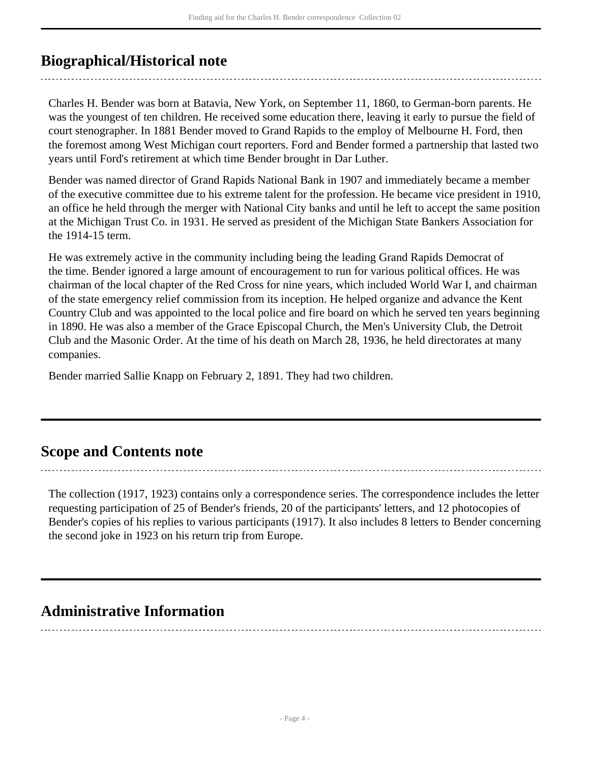## <span id="page-3-0"></span>**Biographical/Historical note**

Charles H. Bender was born at Batavia, New York, on September 11, 1860, to German-born parents. He was the youngest of ten children. He received some education there, leaving it early to pursue the field of court stenographer. In 1881 Bender moved to Grand Rapids to the employ of Melbourne H. Ford, then the foremost among West Michigan court reporters. Ford and Bender formed a partnership that lasted two years until Ford's retirement at which time Bender brought in Dar Luther.

Bender was named director of Grand Rapids National Bank in 1907 and immediately became a member of the executive committee due to his extreme talent for the profession. He became vice president in 1910, an office he held through the merger with National City banks and until he left to accept the same position at the Michigan Trust Co. in 1931. He served as president of the Michigan State Bankers Association for the 1914-15 term.

He was extremely active in the community including being the leading Grand Rapids Democrat of the time. Bender ignored a large amount of encouragement to run for various political offices. He was chairman of the local chapter of the Red Cross for nine years, which included World War I, and chairman of the state emergency relief commission from its inception. He helped organize and advance the Kent Country Club and was appointed to the local police and fire board on which he served ten years beginning in 1890. He was also a member of the Grace Episcopal Church, the Men's University Club, the Detroit Club and the Masonic Order. At the time of his death on March 28, 1936, he held directorates at many companies.

Bender married Sallie Knapp on February 2, 1891. They had two children.

### <span id="page-3-1"></span>**Scope and Contents note**

The collection (1917, 1923) contains only a correspondence series. The correspondence includes the letter requesting participation of 25 of Bender's friends, 20 of the participants' letters, and 12 photocopies of Bender's copies of his replies to various participants (1917). It also includes 8 letters to Bender concerning the second joke in 1923 on his return trip from Europe.

### <span id="page-3-2"></span>**Administrative Information**

- Page 4 -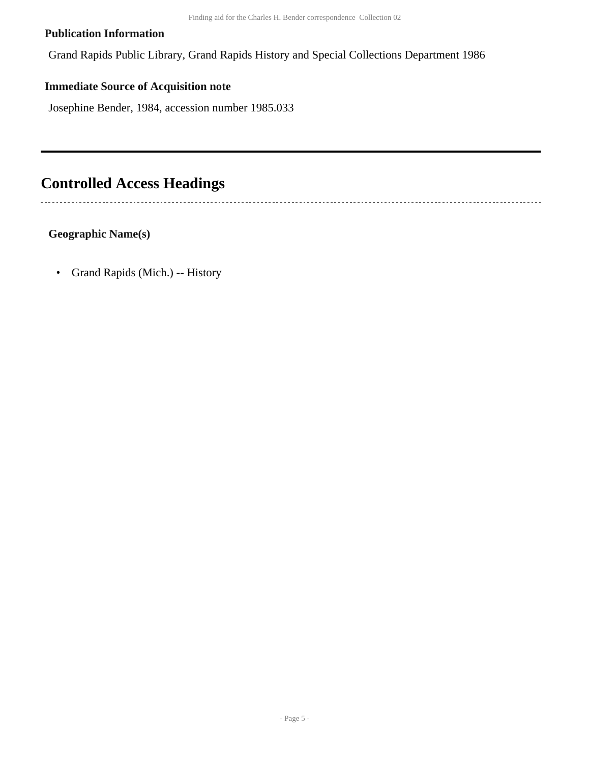#### **Publication Information**

Grand Rapids Public Library, Grand Rapids History and Special Collections Department 1986

#### **Immediate Source of Acquisition note**

Josephine Bender, 1984, accession number 1985.033

## <span id="page-4-0"></span>**Controlled Access Headings**

 $\overline{a}$ 

**Geographic Name(s)**

• Grand Rapids (Mich.) -- History